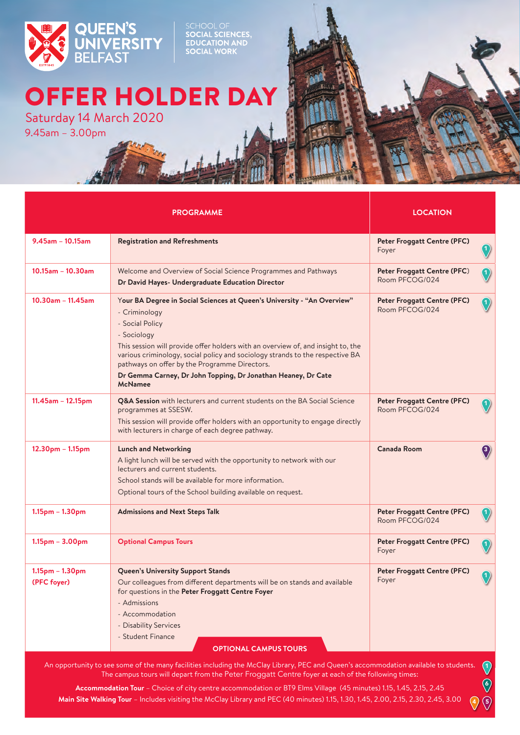

SCHOOL OF<br>**SOCIAL SCIENCES,<br>EDUCATION AND<br>SOCIAL WORK** 

## OFFER HOLDER DAY

9.45am – 3.00pm Saturday 14 March 2020

|                                  | <b>PROGRAMME</b>                                                                                                                                                                                                                                                                                                                                                                                                                    | <b>LOCATION</b>                                      |                  |
|----------------------------------|-------------------------------------------------------------------------------------------------------------------------------------------------------------------------------------------------------------------------------------------------------------------------------------------------------------------------------------------------------------------------------------------------------------------------------------|------------------------------------------------------|------------------|
| $9.45$ am - 10.15am              | <b>Registration and Refreshments</b>                                                                                                                                                                                                                                                                                                                                                                                                | <b>Peter Froggatt Centre (PFC)</b><br>Foyer          |                  |
| $10.15$ am - $10.30$ am          | Welcome and Overview of Social Science Programmes and Pathways<br>Dr David Hayes- Undergraduate Education Director                                                                                                                                                                                                                                                                                                                  | Peter Froggatt Centre (PFC)<br>Room PFCOG/024        |                  |
| $10.30$ am - 11.45am             | Your BA Degree in Social Sciences at Queen's University - "An Overview"<br>- Criminology<br>- Social Policy<br>- Sociology<br>This session will provide offer holders with an overview of, and insight to, the<br>various criminology, social policy and sociology strands to the respective BA<br>pathways on offer by the Programme Directors.<br>Dr Gemma Carney, Dr John Topping, Dr Jonathan Heaney, Dr Cate<br><b>McNamee</b> | <b>Peter Froggatt Centre (PFC)</b><br>Room PFCOG/024 | $\left(1\right)$ |
| $11.45$ am - 12.15pm             | Q&A Session with lecturers and current students on the BA Social Science<br>programmes at SSESW.<br>This session will provide offer holders with an opportunity to engage directly<br>with lecturers in charge of each degree pathway.                                                                                                                                                                                              | <b>Peter Froggatt Centre (PFC)</b><br>Room PFCOG/024 |                  |
| 12.30pm - 1.15pm                 | <b>Lunch and Networking</b><br>A light lunch will be served with the opportunity to network with our<br>lecturers and current students.<br>School stands will be available for more information.<br>Optional tours of the School building available on request.                                                                                                                                                                     | Canada Room                                          | $\bf(3)$         |
| $1.15pm - 1.30pm$                | <b>Admissions and Next Steps Talk</b>                                                                                                                                                                                                                                                                                                                                                                                               | <b>Peter Froggatt Centre (PFC)</b><br>Room PFCOG/024 |                  |
| $1.15pm - 3.00pm$                | <b>Optional Campus Tours</b>                                                                                                                                                                                                                                                                                                                                                                                                        | <b>Peter Froggatt Centre (PFC)</b><br>Foyer          |                  |
| $1.15pm - 1.30pm$<br>(PFC foyer) | <b>Queen's University Support Stands</b><br>Our colleagues from different departments will be on stands and available<br>for questions in the Peter Froggatt Centre Foyer<br>- Admissions<br>- Accommodation<br>- Disability Services<br>- Student Finance<br><b>OPTIONAL CAMPUS TOURS</b>                                                                                                                                          | <b>Peter Froggatt Centre (PFC)</b><br>Foyer          |                  |

The campus tours will depart from the Peter Froggatt Centre foyer at each of the following times:

**Accommodation Tour** – Choice of city centre accommodation or BT9 Elms Village (45 minutes) 1.15, 1.45, 2.15, 2.45 **Main Site Walking Tour** – Includes visiting the McClay Library and PEC (40 minutes) 1.15, 1.30, 1.45, 2.00, 2.15, 2.30, 2.45, 3.00  $\bigcirc$  $\circledcirc$